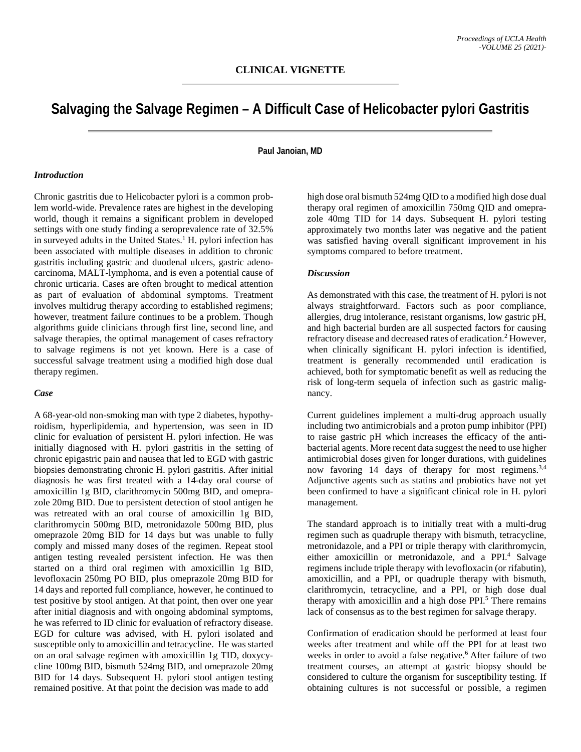# **Salvaging the Salvage Regimen – A Difficult Case of Helicobacter pylori Gastritis**

## **Paul Janoian, MD**

#### *Introduction*

Chronic gastritis due to Helicobacter pylori is a common problem world-wide. Prevalence rates are highest in the developing world, though it remains a significant problem in developed settings with one study finding a seroprevalence rate of 32.5% in surveyed adults in the United States.<sup>1</sup> H. pylori infection has been associated with multiple diseases in addition to chronic gastritis including gastric and duodenal ulcers, gastric adenocarcinoma, MALT-lymphoma, and is even a potential cause of chronic urticaria. Cases are often brought to medical attention as part of evaluation of abdominal symptoms. Treatment involves multidrug therapy according to established regimens; however, treatment failure continues to be a problem. Though algorithms guide clinicians through first line, second line, and salvage therapies, the optimal management of cases refractory to salvage regimens is not yet known. Here is a case of successful salvage treatment using a modified high dose dual therapy regimen.

### *Case*

A 68-year-old non-smoking man with type 2 diabetes, hypothyroidism, hyperlipidemia, and hypertension, was seen in ID clinic for evaluation of persistent H. pylori infection. He was initially diagnosed with H. pylori gastritis in the setting of chronic epigastric pain and nausea that led to EGD with gastric biopsies demonstrating chronic H. pylori gastritis. After initial diagnosis he was first treated with a 14-day oral course of amoxicillin 1g BID, clarithromycin 500mg BID, and omeprazole 20mg BID. Due to persistent detection of stool antigen he was retreated with an oral course of amoxicillin 1g BID, clarithromycin 500mg BID, metronidazole 500mg BID, plus omeprazole 20mg BID for 14 days but was unable to fully comply and missed many doses of the regimen. Repeat stool antigen testing revealed persistent infection. He was then started on a third oral regimen with amoxicillin 1g BID, levofloxacin 250mg PO BID, plus omeprazole 20mg BID for 14 days and reported full compliance, however, he continued to test positive by stool antigen. At that point, then over one year after initial diagnosis and with ongoing abdominal symptoms, he was referred to ID clinic for evaluation of refractory disease. EGD for culture was advised, with H. pylori isolated and susceptible only to amoxicillin and tetracycline. He was started on an oral salvage regimen with amoxicillin 1g TID, doxycycline 100mg BID, bismuth 524mg BID, and omeprazole 20mg BID for 14 days. Subsequent H. pylori stool antigen testing remained positive. At that point the decision was made to add

high dose oral bismuth 524mg QID to a modified high dose dual therapy oral regimen of amoxicillin 750mg QID and omeprazole 40mg TID for 14 days. Subsequent H. pylori testing approximately two months later was negative and the patient was satisfied having overall significant improvement in his symptoms compared to before treatment.

#### *Discussion*

As demonstrated with this case, the treatment of H. pylori is not always straightforward. Factors such as poor compliance, allergies, drug intolerance, resistant organisms, low gastric pH, and high bacterial burden are all suspected factors for causing refractory disease and decreased rates of eradication. <sup>2</sup> However, when clinically significant H. pylori infection is identified, treatment is generally recommended until eradication is achieved, both for symptomatic benefit as well as reducing the risk of long-term sequela of infection such as gastric malignancy.

Current guidelines implement a multi-drug approach usually including two antimicrobials and a proton pump inhibitor (PPI) to raise gastric pH which increases the efficacy of the antibacterial agents. More recent data suggest the need to use higher antimicrobial doses given for longer durations, with guidelines now favoring 14 days of therapy for most regimens.<sup>3,4</sup> Adjunctive agents such as statins and probiotics have not yet been confirmed to have a significant clinical role in H. pylori management.

The standard approach is to initially treat with a multi-drug regimen such as quadruple therapy with bismuth, tetracycline, metronidazole, and a PPI or triple therapy with clarithromycin, either amoxicillin or metronidazole, and a PPI.<sup>4</sup> Salvage regimens include triple therapy with levofloxacin (or rifabutin), amoxicillin, and a PPI, or quadruple therapy with bismuth, clarithromycin, tetracycline, and a PPI, or high dose dual therapy with amoxicillin and a high dose PPI.<sup>5</sup> There remains lack of consensus as to the best regimen for salvage therapy.

Confirmation of eradication should be performed at least four weeks after treatment and while off the PPI for at least two weeks in order to avoid a false negative. <sup>6</sup> After failure of two treatment courses, an attempt at gastric biopsy should be considered to culture the organism for susceptibility testing. If obtaining cultures is not successful or possible, a regimen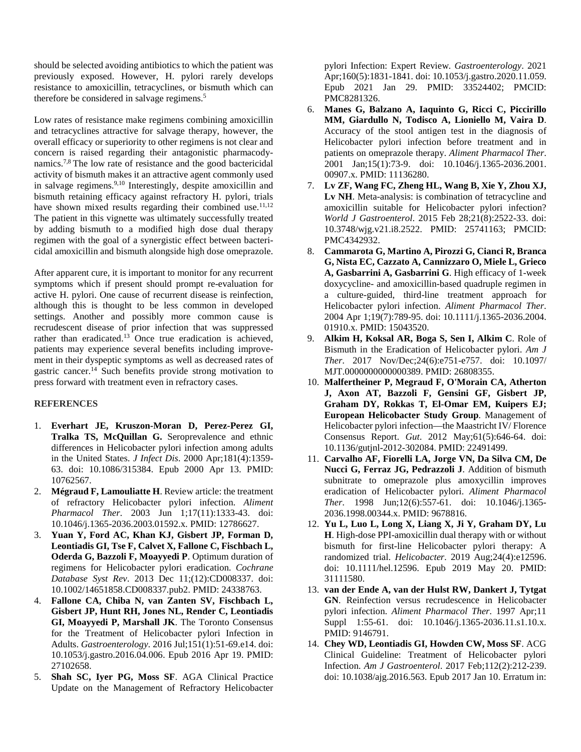should be selected avoiding antibiotics to which the patient was previously exposed. However, H. pylori rarely develops resistance to amoxicillin, tetracyclines, or bismuth which can therefore be considered in salvage regimens.<sup>5</sup>

Low rates of resistance make regimens combining amoxicillin and tetracyclines attractive for salvage therapy, however, the overall efficacy or superiority to other regimens is not clear and concern is raised regarding their antagonistic pharmacodynamics.7,8 The low rate of resistance and the good bactericidal activity of bismuth makes it an attractive agent commonly used in salvage regimens.9,10 Interestingly, despite amoxicillin and bismuth retaining efficacy against refractory H. pylori, trials have shown mixed results regarding their combined use.<sup>11,12</sup> The patient in this vignette was ultimately successfully treated by adding bismuth to a modified high dose dual therapy regimen with the goal of a synergistic effect between bactericidal amoxicillin and bismuth alongside high dose omeprazole.

After apparent cure, it is important to monitor for any recurrent symptoms which if present should prompt re-evaluation for active H. pylori. One cause of recurrent disease is reinfection, although this is thought to be less common in developed settings. Another and possibly more common cause is recrudescent disease of prior infection that was suppressed rather than eradicated.<sup>13</sup> Once true eradication is achieved, patients may experience several benefits including improvement in their dyspeptic symptoms as well as decreased rates of gastric cancer.14 Such benefits provide strong motivation to press forward with treatment even in refractory cases.

## **REFERENCES**

- 1. **Everhart JE, Kruszon-Moran D, Perez-Perez GI, Tralka TS, McQuillan G.** Seroprevalence and ethnic differences in Helicobacter pylori infection among adults in the United States. *J Infect Dis*. 2000 Apr;181(4):1359- 63. doi: 10.1086/315384. Epub 2000 Apr 13. PMID: 10762567.
- 2. **Mégraud F, Lamouliatte H**. Review article: the treatment of refractory Helicobacter pylori infection. *Aliment Pharmacol Ther*. 2003 Jun 1;17(11):1333-43. doi: 10.1046/j.1365-2036.2003.01592.x. PMID: 12786627.
- 3. **Yuan Y, Ford AC, Khan KJ, Gisbert JP, Forman D, Leontiadis GI, Tse F, Calvet X, Fallone C, Fischbach L, Oderda G, Bazzoli F, Moayyedi P**. Optimum duration of regimens for Helicobacter pylori eradication. *Cochrane Database Syst Rev*. 2013 Dec 11;(12):CD008337. doi: 10.1002/14651858.CD008337.pub2. PMID: 24338763.
- 4. **Fallone CA, Chiba N, van Zanten SV, Fischbach L, Gisbert JP, Hunt RH, Jones NL, Render C, Leontiadis GI, Moayyedi P, Marshall JK**. The Toronto Consensus for the Treatment of Helicobacter pylori Infection in Adults. *Gastroenterology*. 2016 Jul;151(1):51-69.e14. doi: 10.1053/j.gastro.2016.04.006. Epub 2016 Apr 19. PMID: 27102658.
- 5. **Shah SC, Iyer PG, Moss SF**. AGA Clinical Practice Update on the Management of Refractory Helicobacter

pylori Infection: Expert Review. *Gastroenterology*. 2021 Apr;160(5):1831-1841. doi: 10.1053/j.gastro.2020.11.059. Epub 2021 Jan 29. PMID: 33524402; PMCID: PMC8281326.

- 6. **Manes G, Balzano A, Iaquinto G, Ricci C, Piccirillo MM, Giardullo N, Todisco A, Lioniello M, Vaira D**. Accuracy of the stool antigen test in the diagnosis of Helicobacter pylori infection before treatment and in patients on omeprazole therapy. *Aliment Pharmacol Ther*. 2001 Jan;15(1):73-9. doi: 10.1046/j.1365-2036.2001. 00907.x. PMID: 11136280.
- 7. **Lv ZF, Wang FC, Zheng HL, Wang B, Xie Y, Zhou XJ, Lv NH**. Meta-analysis: is combination of tetracycline and amoxicillin suitable for Helicobacter pylori infection? *World J Gastroenterol*. 2015 Feb 28;21(8):2522-33. doi: 10.3748/wjg.v21.i8.2522. PMID: 25741163; PMCID: PMC4342932.
- 8. **Cammarota G, Martino A, Pirozzi G, Cianci R, Branca G, Nista EC, Cazzato A, Cannizzaro O, Miele L, Grieco A, Gasbarrini A, Gasbarrini G**. High efficacy of 1-week doxycycline- and amoxicillin-based quadruple regimen in a culture-guided, third-line treatment approach for Helicobacter pylori infection. *Aliment Pharmacol Ther*. 2004 Apr 1;19(7):789-95. doi: 10.1111/j.1365-2036.2004. 01910.x. PMID: 15043520.
- 9. **Alkim H, Koksal AR, Boga S, Sen I, Alkim C**. Role of Bismuth in the Eradication of Helicobacter pylori. *Am J Ther*. 2017 Nov/Dec;24(6):e751-e757. doi: 10.1097/ MJT.0000000000000389. PMID: 26808355.
- 10. **Malfertheiner P, Megraud F, O'Morain CA, Atherton J, Axon AT, Bazzoli F, Gensini GF, Gisbert JP, Graham DY, Rokkas T, El-Omar EM, Kuipers EJ; European Helicobacter Study Group**. Management of Helicobacter pylori infection—the Maastricht IV/ Florence Consensus Report. *Gut*. 2012 May;61(5):646-64. doi: 10.1136/gutjnl-2012-302084. PMID: 22491499.
- 11. **Carvalho AF, Fiorelli LA, Jorge VN, Da Silva CM, De Nucci G, Ferraz JG, Pedrazzoli J**. Addition of bismuth subnitrate to omeprazole plus amoxycillin improves eradication of Helicobacter pylori. *Aliment Pharmacol Ther*. 1998 Jun;12(6):557-61. doi: 10.1046/j.1365- 2036.1998.00344.x. PMID: 9678816.
- 12. **Yu L, Luo L, Long X, Liang X, Ji Y, Graham DY, Lu H**. High-dose PPI-amoxicillin dual therapy with or without bismuth for first-line Helicobacter pylori therapy: A randomized trial. *Helicobacter*. 2019 Aug;24(4):e12596. doi: 10.1111/hel.12596. Epub 2019 May 20. PMID: 31111580.
- 13. **van der Ende A, van der Hulst RW, Dankert J, Tytgat GN**. Reinfection versus recrudescence in Helicobacter pylori infection. *Aliment Pharmacol Ther*. 1997 Apr;11 Suppl 1:55-61. doi: 10.1046/j.1365-2036.11.s1.10.x. PMID: 9146791.
- 14. **Chey WD, Leontiadis GI, Howden CW, Moss SF**. ACG Clinical Guideline: Treatment of Helicobacter pylori Infection. *Am J Gastroenterol*. 2017 Feb;112(2):212-239. doi: 10.1038/ajg.2016.563. Epub 2017 Jan 10. Erratum in: